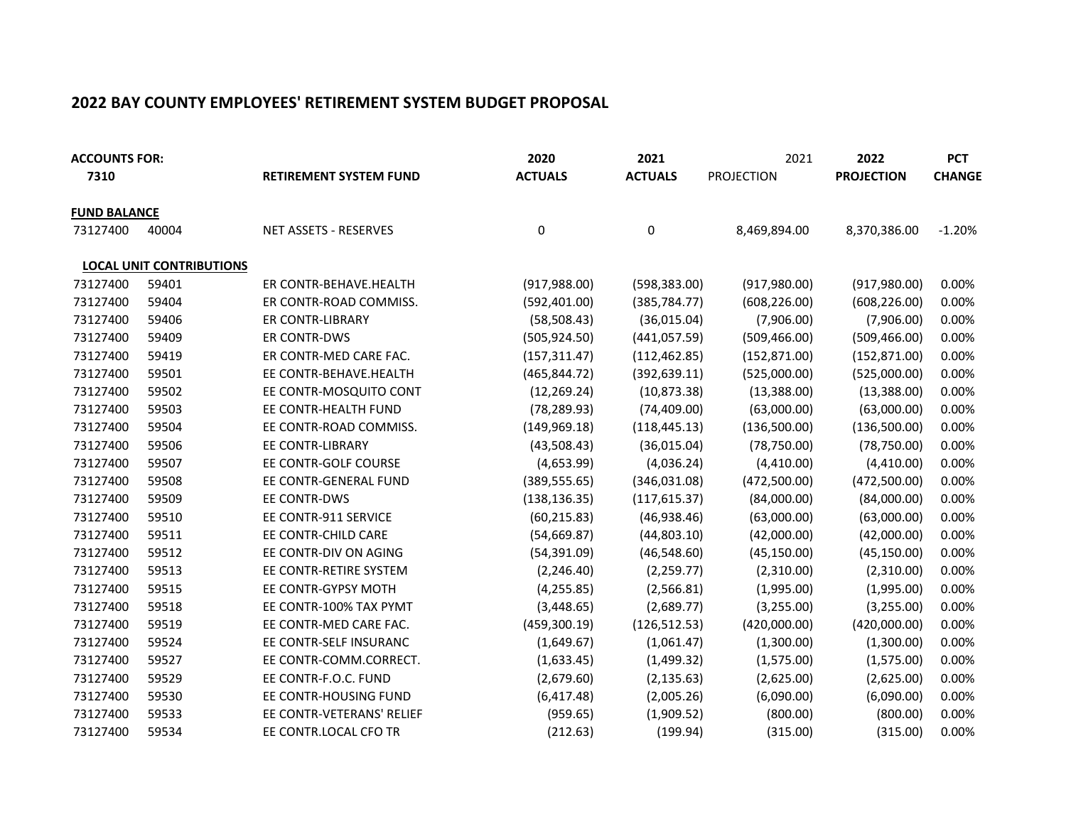## 2022 BAY COUNTY EMPLOYEES' RETIREMENT SYSTEM BUDGET PROPOSAL

| <b>ACCOUNTS FOR:</b> |                                 |                               | 2020           | 2021           | 2021              | 2022              | <b>PCT</b>    |
|----------------------|---------------------------------|-------------------------------|----------------|----------------|-------------------|-------------------|---------------|
| 7310                 |                                 | <b>RETIREMENT SYSTEM FUND</b> | <b>ACTUALS</b> | <b>ACTUALS</b> | <b>PROJECTION</b> | <b>PROJECTION</b> | <b>CHANGE</b> |
| <b>FUND BALANCE</b>  |                                 |                               |                |                |                   |                   |               |
| 73127400             | 40004                           | <b>NET ASSETS - RESERVES</b>  | 0              | 0              | 8,469,894.00      | 8,370,386.00      | $-1.20%$      |
|                      | <b>LOCAL UNIT CONTRIBUTIONS</b> |                               |                |                |                   |                   |               |
| 73127400             | 59401                           | ER CONTR-BEHAVE.HEALTH        | (917, 988.00)  | (598, 383.00)  | (917, 980.00)     | (917, 980.00)     | 0.00%         |
| 73127400             | 59404                           | ER CONTR-ROAD COMMISS.        | (592, 401.00)  | (385, 784.77)  | (608, 226.00)     | (608, 226.00)     | 0.00%         |
| 73127400             | 59406                           | ER CONTR-LIBRARY              | (58, 508.43)   | (36,015.04)    | (7,906.00)        | (7,906.00)        | 0.00%         |
| 73127400             | 59409                           | ER CONTR-DWS                  | (505, 924.50)  | (441, 057.59)  | (509, 466.00)     | (509, 466.00)     | 0.00%         |
| 73127400             | 59419                           | ER CONTR-MED CARE FAC.        | (157, 311.47)  | (112, 462.85)  | (152, 871.00)     | (152, 871.00)     | 0.00%         |
| 73127400             | 59501                           | EE CONTR-BEHAVE.HEALTH        | (465, 844.72)  | (392, 639.11)  | (525,000.00)      | (525,000.00)      | 0.00%         |
| 73127400             | 59502                           | EE CONTR-MOSQUITO CONT        | (12, 269.24)   | (10, 873.38)   | (13,388.00)       | (13,388.00)       | 0.00%         |
| 73127400             | 59503                           | EE CONTR-HEALTH FUND          | (78, 289.93)   | (74, 409.00)   | (63,000.00)       | (63,000.00)       | 0.00%         |
| 73127400             | 59504                           | EE CONTR-ROAD COMMISS.        | (149, 969.18)  | (118, 445.13)  | (136,500.00)      | (136,500.00)      | 0.00%         |
| 73127400             | 59506                           | EE CONTR-LIBRARY              | (43,508.43)    | (36,015.04)    | (78, 750.00)      | (78, 750.00)      | 0.00%         |
| 73127400             | 59507                           | EE CONTR-GOLF COURSE          | (4,653.99)     | (4,036.24)     | (4,410.00)        | (4,410.00)        | 0.00%         |
| 73127400             | 59508                           | EE CONTR-GENERAL FUND         | (389, 555.65)  | (346,031.08)   | (472,500.00)      | (472,500.00)      | 0.00%         |
| 73127400             | 59509                           | EE CONTR-DWS                  | (138, 136.35)  | (117, 615.37)  | (84,000.00)       | (84,000.00)       | 0.00%         |
| 73127400             | 59510                           | EE CONTR-911 SERVICE          | (60, 215.83)   | (46,938.46)    | (63,000.00)       | (63,000.00)       | 0.00%         |
| 73127400             | 59511                           | EE CONTR-CHILD CARE           | (54, 669.87)   | (44,803.10)    | (42,000.00)       | (42,000.00)       | 0.00%         |
| 73127400             | 59512                           | EE CONTR-DIV ON AGING         | (54, 391.09)   | (46,548.60)    | (45, 150.00)      | (45, 150.00)      | 0.00%         |
| 73127400             | 59513                           | EE CONTR-RETIRE SYSTEM        | (2, 246.40)    | (2, 259.77)    | (2,310.00)        | (2,310.00)        | 0.00%         |
| 73127400             | 59515                           | EE CONTR-GYPSY MOTH           | (4, 255.85)    | (2,566.81)     | (1,995.00)        | (1,995.00)        | 0.00%         |
| 73127400             | 59518                           | EE CONTR-100% TAX PYMT        | (3,448.65)     | (2,689.77)     | (3,255.00)        | (3,255.00)        | 0.00%         |
| 73127400             | 59519                           | EE CONTR-MED CARE FAC.        | (459, 300.19)  | (126, 512.53)  | (420,000.00)      | (420,000.00)      | 0.00%         |
| 73127400             | 59524                           | EE CONTR-SELF INSURANC        | (1,649.67)     | (1,061.47)     | (1,300.00)        | (1,300.00)        | 0.00%         |
| 73127400             | 59527                           | EE CONTR-COMM.CORRECT.        | (1,633.45)     | (1,499.32)     | (1,575.00)        | (1,575.00)        | 0.00%         |
| 73127400             | 59529                           | EE CONTR-F.O.C. FUND          | (2,679.60)     | (2, 135.63)    | (2,625.00)        | (2,625.00)        | 0.00%         |
| 73127400             | 59530                           | EE CONTR-HOUSING FUND         | (6,417.48)     | (2,005.26)     | (6,090.00)        | (6,090.00)        | 0.00%         |
| 73127400             | 59533                           | EE CONTR-VETERANS' RELIEF     | (959.65)       | (1,909.52)     | (800.00)          | (800.00)          | 0.00%         |
| 73127400             | 59534                           | EE CONTR.LOCAL CFO TR         | (212.63)       | (199.94)       | (315.00)          | (315.00)          | 0.00%         |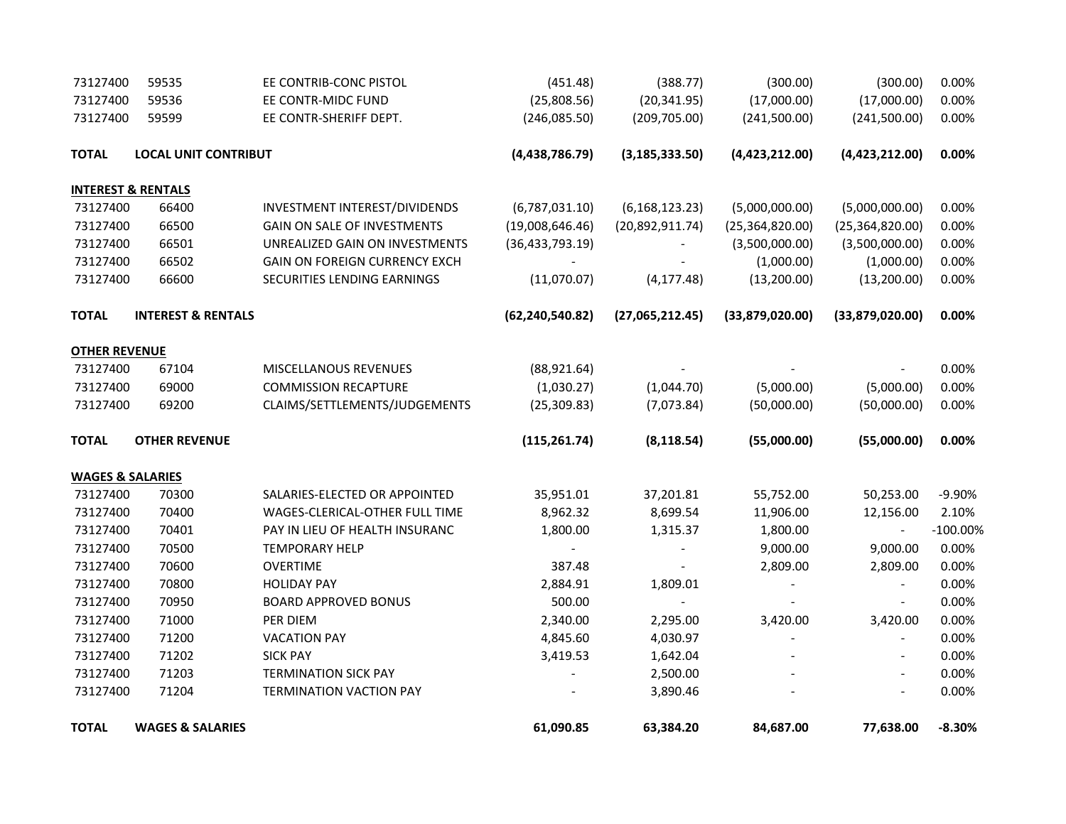| 73127400                    | 59535                         | EE CONTRIB-CONC PISTOL             | (451.48)          | (388.77)                 | (300.00)                 | (300.00)                 | 0.00%       |
|-----------------------------|-------------------------------|------------------------------------|-------------------|--------------------------|--------------------------|--------------------------|-------------|
| 73127400                    | 59536                         | EE CONTR-MIDC FUND                 | (25,808.56)       | (20, 341.95)             | (17,000.00)              | (17,000.00)              | 0.00%       |
| 73127400                    | 59599                         | EE CONTR-SHERIFF DEPT.             | (246,085.50)      | (209, 705.00)            | (241,500.00)             | (241,500.00)             | 0.00%       |
| <b>TOTAL</b>                | <b>LOCAL UNIT CONTRIBUT</b>   |                                    | (4,438,786.79)    | (3, 185, 333.50)         | (4,423,212.00)           | (4,423,212.00)           | 0.00%       |
|                             | <b>INTEREST &amp; RENTALS</b> |                                    |                   |                          |                          |                          |             |
| 73127400                    | 66400                         | INVESTMENT INTEREST/DIVIDENDS      | (6,787,031.10)    | (6, 168, 123.23)         | (5,000,000.00)           | (5,000,000.00)           | 0.00%       |
| 73127400                    | 66500                         | <b>GAIN ON SALE OF INVESTMENTS</b> | (19,008,646.46)   | (20,892,911.74)          | (25, 364, 820.00)        | (25, 364, 820.00)        | 0.00%       |
| 73127400                    | 66501                         | UNREALIZED GAIN ON INVESTMENTS     | (36, 433, 793.19) |                          | (3,500,000.00)           | (3,500,000.00)           | 0.00%       |
| 73127400                    | 66502                         | GAIN ON FOREIGN CURRENCY EXCH      |                   |                          | (1,000.00)               | (1,000.00)               | 0.00%       |
| 73127400                    | 66600                         | SECURITIES LENDING EARNINGS        | (11,070.07)       | (4, 177.48)              | (13,200.00)              | (13,200.00)              | 0.00%       |
| <b>TOTAL</b>                | <b>INTEREST &amp; RENTALS</b> |                                    | (62, 240, 540.82) | (27,065,212.45)          | (33,879,020.00)          | (33,879,020.00)          | 0.00%       |
| <b>OTHER REVENUE</b>        |                               |                                    |                   |                          |                          |                          |             |
| 73127400                    | 67104                         | MISCELLANOUS REVENUES              | (88,921.64)       |                          |                          |                          | 0.00%       |
| 73127400                    | 69000                         | <b>COMMISSION RECAPTURE</b>        | (1,030.27)        | (1,044.70)               | (5,000.00)               | (5,000.00)               | 0.00%       |
| 73127400                    | 69200                         | CLAIMS/SETTLEMENTS/JUDGEMENTS      | (25, 309.83)      | (7,073.84)               | (50,000.00)              | (50,000.00)              | 0.00%       |
| <b>TOTAL</b>                | <b>OTHER REVENUE</b>          |                                    | (115, 261.74)     | (8, 118.54)              | (55,000.00)              | (55,000.00)              | 0.00%       |
| <b>WAGES &amp; SALARIES</b> |                               |                                    |                   |                          |                          |                          |             |
| 73127400                    | 70300                         | SALARIES-ELECTED OR APPOINTED      | 35,951.01         | 37,201.81                | 55,752.00                | 50,253.00                | $-9.90%$    |
| 73127400                    | 70400                         | WAGES-CLERICAL-OTHER FULL TIME     | 8,962.32          | 8,699.54                 | 11,906.00                | 12,156.00                | 2.10%       |
| 73127400                    | 70401                         | PAY IN LIEU OF HEALTH INSURANC     | 1,800.00          | 1,315.37                 | 1,800.00                 | $\blacksquare$           | $-100.00\%$ |
| 73127400                    | 70500                         | <b>TEMPORARY HELP</b>              |                   |                          | 9,000.00                 | 9,000.00                 | 0.00%       |
| 73127400                    | 70600                         | <b>OVERTIME</b>                    | 387.48            | $\overline{\phantom{a}}$ | 2,809.00                 | 2,809.00                 | 0.00%       |
| 73127400                    | 70800                         | <b>HOLIDAY PAY</b>                 | 2,884.91          | 1,809.01                 | $\blacksquare$           | $\overline{\phantom{a}}$ | 0.00%       |
| 73127400                    | 70950                         | <b>BOARD APPROVED BONUS</b>        | 500.00            | $\blacksquare$           |                          | $\overline{\phantom{a}}$ | 0.00%       |
| 73127400                    | 71000                         | PER DIEM                           | 2,340.00          | 2,295.00                 | 3,420.00                 | 3,420.00                 | 0.00%       |
| 73127400                    | 71200                         | <b>VACATION PAY</b>                | 4,845.60          | 4,030.97                 | $\overline{\phantom{0}}$ | $\overline{\phantom{a}}$ | 0.00%       |
| 73127400                    | 71202                         | <b>SICK PAY</b>                    | 3,419.53          | 1,642.04                 |                          |                          | 0.00%       |
| 73127400                    | 71203                         | <b>TERMINATION SICK PAY</b>        | $\blacksquare$    | 2,500.00                 |                          |                          | 0.00%       |
| 73127400                    | 71204                         | <b>TERMINATION VACTION PAY</b>     |                   | 3,890.46                 |                          |                          | 0.00%       |
| <b>TOTAL</b>                | <b>WAGES &amp; SALARIES</b>   |                                    | 61,090.85         | 63,384.20                | 84,687.00                | 77,638.00                | $-8.30%$    |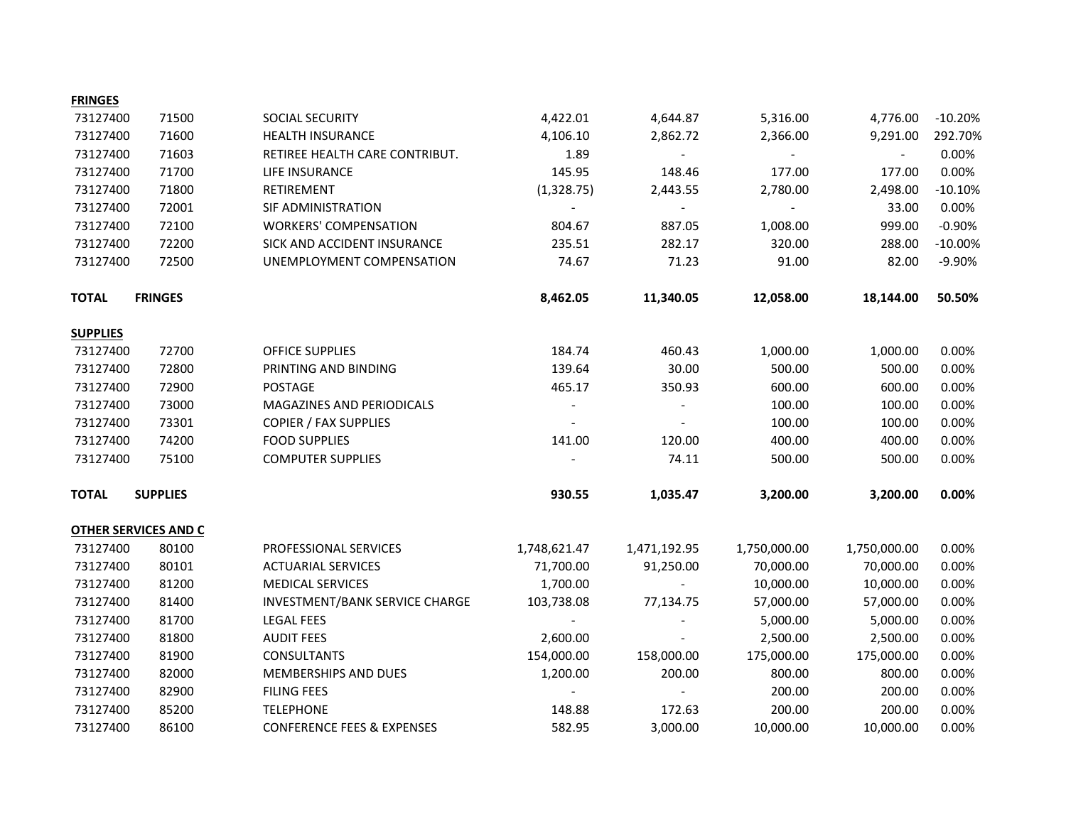| <b>FRINGES</b>  |                             |                                       |                          |                |                |                |           |
|-----------------|-----------------------------|---------------------------------------|--------------------------|----------------|----------------|----------------|-----------|
| 73127400        | 71500                       | SOCIAL SECURITY                       | 4,422.01                 | 4,644.87       | 5,316.00       | 4,776.00       | $-10.20%$ |
| 73127400        | 71600                       | <b>HEALTH INSURANCE</b>               | 4,106.10                 | 2,862.72       | 2,366.00       | 9,291.00       | 292.70%   |
| 73127400        | 71603                       | RETIREE HEALTH CARE CONTRIBUT.        | 1.89                     | $\blacksquare$ | $\blacksquare$ | $\blacksquare$ | 0.00%     |
| 73127400        | 71700                       | LIFE INSURANCE                        | 145.95                   | 148.46         | 177.00         | 177.00         | 0.00%     |
| 73127400        | 71800                       | RETIREMENT                            | (1,328.75)               | 2,443.55       | 2,780.00       | 2,498.00       | $-10.10%$ |
| 73127400        | 72001                       | SIF ADMINISTRATION                    |                          |                |                | 33.00          | 0.00%     |
| 73127400        | 72100                       | <b>WORKERS' COMPENSATION</b>          | 804.67                   | 887.05         | 1,008.00       | 999.00         | $-0.90%$  |
| 73127400        | 72200                       | SICK AND ACCIDENT INSURANCE           | 235.51                   | 282.17         | 320.00         | 288.00         | $-10.00%$ |
| 73127400        | 72500                       | UNEMPLOYMENT COMPENSATION             | 74.67                    | 71.23          | 91.00          | 82.00          | $-9.90%$  |
| <b>TOTAL</b>    | <b>FRINGES</b>              |                                       | 8,462.05                 | 11,340.05      | 12,058.00      | 18,144.00      | 50.50%    |
| <b>SUPPLIES</b> |                             |                                       |                          |                |                |                |           |
| 73127400        | 72700                       | OFFICE SUPPLIES                       | 184.74                   | 460.43         | 1,000.00       | 1,000.00       | 0.00%     |
| 73127400        | 72800                       | PRINTING AND BINDING                  | 139.64                   | 30.00          | 500.00         | 500.00         | 0.00%     |
| 73127400        | 72900                       | <b>POSTAGE</b>                        | 465.17                   | 350.93         | 600.00         | 600.00         | 0.00%     |
| 73127400        | 73000                       | MAGAZINES AND PERIODICALS             |                          |                | 100.00         | 100.00         | 0.00%     |
| 73127400        | 73301                       | <b>COPIER / FAX SUPPLIES</b>          | $\overline{\phantom{a}}$ |                | 100.00         | 100.00         | 0.00%     |
| 73127400        | 74200                       | <b>FOOD SUPPLIES</b>                  | 141.00                   | 120.00         | 400.00         | 400.00         | 0.00%     |
| 73127400        | 75100                       | <b>COMPUTER SUPPLIES</b>              |                          | 74.11          | 500.00         | 500.00         | 0.00%     |
| <b>TOTAL</b>    | <b>SUPPLIES</b>             |                                       | 930.55                   | 1,035.47       | 3,200.00       | 3,200.00       | 0.00%     |
|                 | <b>OTHER SERVICES AND C</b> |                                       |                          |                |                |                |           |
| 73127400        | 80100                       | PROFESSIONAL SERVICES                 | 1,748,621.47             | 1,471,192.95   | 1,750,000.00   | 1,750,000.00   | 0.00%     |
| 73127400        | 80101                       | <b>ACTUARIAL SERVICES</b>             | 71,700.00                | 91,250.00      | 70,000.00      | 70,000.00      | 0.00%     |
| 73127400        | 81200                       | <b>MEDICAL SERVICES</b>               | 1,700.00                 |                | 10,000.00      | 10,000.00      | 0.00%     |
| 73127400        | 81400                       | INVESTMENT/BANK SERVICE CHARGE        | 103,738.08               | 77,134.75      | 57,000.00      | 57,000.00      | 0.00%     |
| 73127400        | 81700                       | <b>LEGAL FEES</b>                     |                          |                | 5,000.00       | 5,000.00       | 0.00%     |
| 73127400        | 81800                       | <b>AUDIT FEES</b>                     | 2,600.00                 |                | 2,500.00       | 2,500.00       | 0.00%     |
| 73127400        | 81900                       | <b>CONSULTANTS</b>                    | 154,000.00               | 158,000.00     | 175,000.00     | 175,000.00     | 0.00%     |
| 73127400        | 82000                       | MEMBERSHIPS AND DUES                  | 1,200.00                 | 200.00         | 800.00         | 800.00         | 0.00%     |
| 73127400        | 82900                       | <b>FILING FEES</b>                    | $\overline{a}$           |                | 200.00         | 200.00         | 0.00%     |
| 73127400        | 85200                       | <b>TELEPHONE</b>                      | 148.88                   | 172.63         | 200.00         | 200.00         | 0.00%     |
| 73127400        | 86100                       | <b>CONFERENCE FEES &amp; EXPENSES</b> | 582.95                   | 3,000.00       | 10,000.00      | 10,000.00      | 0.00%     |